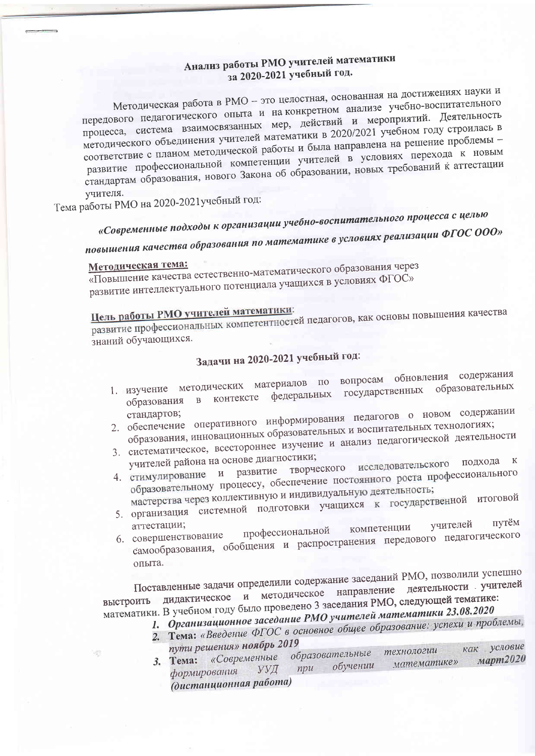### Анализ работы РМО учителей математики за 2020-2021 учебный год.

Методическая работа в РМО - это целостная, основанная на достижениях науки и передового педагогического опыта и на конкретном анализе учебно-воспитательного процесса, система взаимосвязанных мер, действий и мероприятий. Деятельность методического объединения учителей математики в 2020/2021 учебном году строилась в соответствие с планом методической работы и была направлена на решение проблемы развитие профессиональной компетенции учителей в условиях перехода к новым стандартам образования, нового Закона об образовании, новых требований к аттестации учителя.

Тема работы РМО на 2020-2021 учебный год:

# «Современные подходы к организации учебно-воспитательного процесса с целью

повышения качества образования по математике в условиях реализации ФГОС ООО»

### Методическая тема:

«Повышение качества естественно-математического образования через развитие интеллектуального потенциала учащихся в условиях ФГОС»

## Цель работы РМО учителей математики:

развитие профессиональных компетентностей педагогов, как основы повышения качества знаний обучающихся.

### Задачи на 2020-2021 учебный год:

- 1. изучение методических материалов по вопросам обновления содержания федеральных государственных образовательных в контексте образования
- 2. обеспечение оперативного информирования педагогов о новом содержании образования, инновационных образовательных и воспитательных технологиях;
- 3. систематическое, всестороннее изучение и анализ педагогической деятельности
- учителей района на основе диагностики; творческого исследовательского подхода к 4. стимулирование и развитие образовательному процессу, обеспечение постоянного роста профессионального
- мастерства через коллективную и индивидуальную деятельность; 5. организация системной подготовки учащихся к государственной итоговой
- путём учителей аттестации; компетенции
- профессиональной самообразования, обобщения и распространения передового педагогического 6. совершенствование опыта.

Поставленные задачи определили содержание заседаний РМО, позволили успешно дидактическое и методическое направление деятельности учителей математики. В учебном году было проведено 3 заседания РМО, следующей тематике: 1. Организационное заседание РМО учителей математики 23.08.2020

- 
- 2. Тема: «Введение ФГОС в основное общее образование: успехи и проблемы, пути решения» ноябрь 2019 как условие
	- технологии 3. Тема: «Современные образовательные март2020 математике» обучении УУД  $npu$ формирования (дистанционная работа)

浪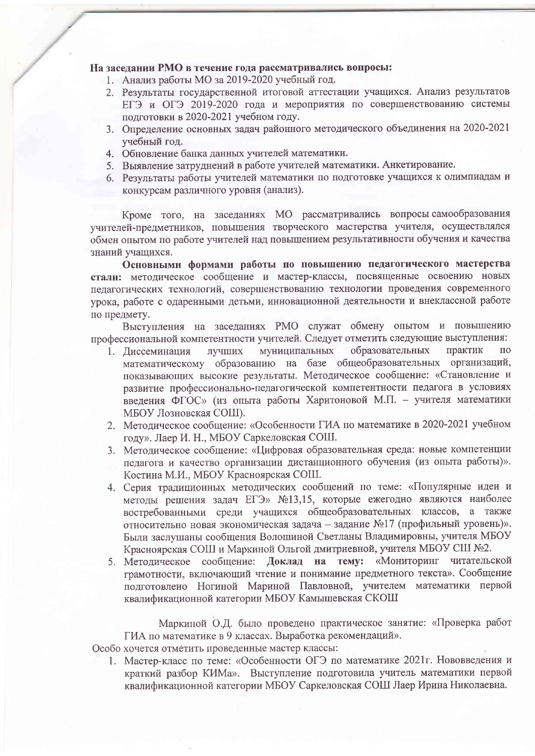#### На заселании РМО в течение года рассматривались вопросы:

- 1. Анализ работы МО за 2019-2020 учебный год.
- 2. Результаты государственной итоговой аттестации учащихся. Анализ результатов ЕГЭ и ОГЭ 2019-2020 года и мероприятия по совершенствованию системы полготовки в 2020-2021 учебном году.
- 3. Определение основных задач районного методического объединения на 2020-2021 учебный год.
- 4. Обновление банка ланных учителей математики.
- 5. Выявление затруднений в работе учителей математики. Анкетирование.
- 6. Результаты работы учителей математики по подготовке учащихся к олимпиадам и конкурсам различного уровня (анализ).

Кроме того, на заседаниях МО рассматривались вопросы самообразования учителей-предметников, повышения творческого мастерства учителя, осуществлялся обмен опытом по работе учителей над повышением результативности обучения и качества знаний учашихся.

Основными формами работы по повышению педагогического мастерства стали: методическое сообщение и мастер-классы, посвященные освоению новых педагогических технологий, совершенствованию технологии проведения современного урока, работе с одаренными детьми, инновационной деятельности и внеклассной работе по предмету.

Выступления на заседаниях РМО служат обмену опытом и повышению профессиональной компетентности учителей. Следует отметить следующие выступления:

- лучших муниципальных образовательных практик  $\overline{10}$ 1. Лиссеминация математическому образованию на базе общеобразовательных организаций, показывающих высокие результаты. Методическое сообщение: «Становление и развитие профессионально-педагогической компетентности педагога в условиях введения ФГОС» (из опыта работы Харитоновой М.П. - учителя математики МБОУ Лозновская СОШ).
- 2. Методическое сообщение: «Особенности ГИА по математике в 2020-2021 учебном году». Лаер И. Н., МБОУ Саркеловская СОШ.
- 3. Методическое сообщение: «Цифровая образовательная среда: новые компетенции педагога и качество организации дистанционного обучения (из опыта работы)». Костина М.И., МБОУ Красноярская СОШ.
- 4. Серия тралиционных методических сообщений по теме: «Популярные идеи и метолы решения задач ЕГЭ» №13,15, которые ежегодно являются наиболее востребованными среди учащихся общеобразовательных классов, а также относительно новая экономическая задача - задание №17 (профильный уровень)». Были заслушаны сообщения Волошиной Светланы Владимировны, учителя МБОУ Красноярская СОШ и Маркиной Ольгой дмитриевной, учителя МБОУ СШ №2.
- 5. Методическое сообщение: Доклад на тему: «Мониторинг читательской грамотности, включающий чтение и понимание предметного текста». Сообщение подготовлено Ногиной Мариной Павловной, учителем математики первой квалификационной категории МБОУ Камышевская СКОШ

Маркиной О.Д. было проведено практическое занятие: «Проверка работ ГИА по математике в 9 классах. Выработка рекомендаций».

Особо хочется отметить проведенные мастер классы:

1. Мастер-класс по теме: «Особенности ОГЭ по математике 2021г. Нововведения и краткий разбор КИМа». Выступление подготовила учитель математики первой квалификационной категории МБОУ Саркеловская СОШ Лаер Ирина Николаевна.